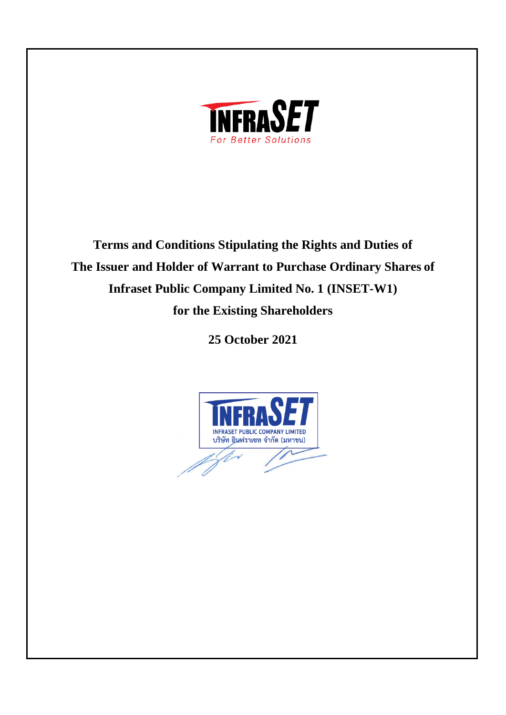

**Terms and Conditions Stipulating the Rights and Duties of The Issuer and Holder of Warrant to Purchase Ordinary Shares of Infraset Public Company Limited No. 1 (INSET-W1) for the Existing Shareholders** 

**25 October 2021**

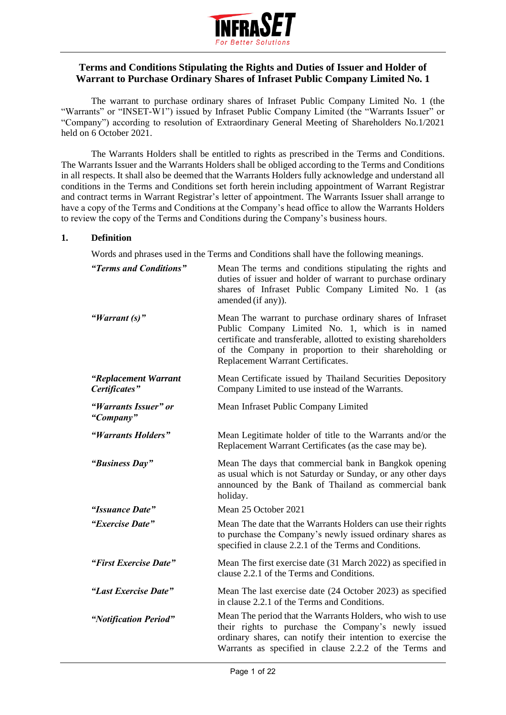

# **Terms and Conditions Stipulating the Rights and Duties of Issuer and Holder of Warrant to Purchase Ordinary Shares of Infraset Public Company Limited No. 1**

The warrant to purchase ordinary shares of Infraset Public Company Limited No. 1 (the "Warrants" or "INSET-W1") issued by Infraset Public Company Limited (the "Warrants Issuer" or "Company") according to resolution of Extraordinary General Meeting of Shareholders No.1/2021 held on 6 October 2021.

The Warrants Holders shall be entitled to rights as prescribed in the Terms and Conditions. The Warrants Issuer and the Warrants Holders shall be obliged according to the Terms and Conditions in all respects. It shall also be deemed that the Warrants Holders fully acknowledge and understand all conditions in the Terms and Conditions set forth herein including appointment of Warrant Registrar and contract terms in Warrant Registrar's letter of appointment. The Warrants Issuer shall arrange to have a copy of the Terms and Conditions at the Company's head office to allow the Warrants Holders to review the copy of the Terms and Conditions during the Company's business hours.

### **1. Definition**

Words and phrases used in the Terms and Conditions shall have the following meanings.

| "Terms and Conditions"                | Mean The terms and conditions stipulating the rights and<br>duties of issuer and holder of warrant to purchase ordinary<br>shares of Infraset Public Company Limited No. 1 (as<br>amended (if any)).                                                                         |
|---------------------------------------|------------------------------------------------------------------------------------------------------------------------------------------------------------------------------------------------------------------------------------------------------------------------------|
| "Warrant $(s)$ "                      | Mean The warrant to purchase ordinary shares of Infraset<br>Public Company Limited No. 1, which is in named<br>certificate and transferable, allotted to existing shareholders<br>of the Company in proportion to their shareholding or<br>Replacement Warrant Certificates. |
| "Replacement Warrant<br>Certificates" | Mean Certificate issued by Thailand Securities Depository<br>Company Limited to use instead of the Warrants.                                                                                                                                                                 |
| "Warrants Issuer" or<br>"Company"     | Mean Infraset Public Company Limited                                                                                                                                                                                                                                         |
| "Warrants Holders"                    | Mean Legitimate holder of title to the Warrants and/or the<br>Replacement Warrant Certificates (as the case may be).                                                                                                                                                         |
| "Business Day"                        | Mean The days that commercial bank in Bangkok opening<br>as usual which is not Saturday or Sunday, or any other days<br>announced by the Bank of Thailand as commercial bank<br>holiday.                                                                                     |
| "Issuance Date"                       | Mean 25 October 2021                                                                                                                                                                                                                                                         |
| "Exercise Date"                       | Mean The date that the Warrants Holders can use their rights<br>to purchase the Company's newly issued ordinary shares as<br>specified in clause 2.2.1 of the Terms and Conditions.                                                                                          |
| "First Exercise Date"                 | Mean The first exercise date (31 March 2022) as specified in<br>clause 2.2.1 of the Terms and Conditions.                                                                                                                                                                    |
| "Last Exercise Date"                  | Mean The last exercise date (24 October 2023) as specified<br>in clause 2.2.1 of the Terms and Conditions.                                                                                                                                                                   |
| "Notification Period"                 | Mean The period that the Warrants Holders, who wish to use<br>their rights to purchase the Company's newly issued<br>ordinary shares, can notify their intention to exercise the<br>Warrants as specified in clause 2.2.2 of the Terms and                                   |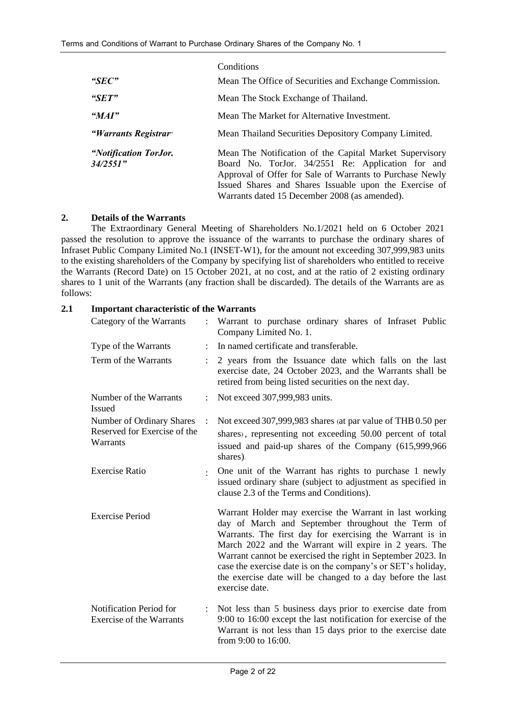|                                   | Conditions                                                                                                                                                                                                                                                                          |  |
|-----------------------------------|-------------------------------------------------------------------------------------------------------------------------------------------------------------------------------------------------------------------------------------------------------------------------------------|--|
| " $SEC"$                          | Mean The Office of Securities and Exchange Commission.                                                                                                                                                                                                                              |  |
| " $SET"$                          | Mean The Stock Exchange of Thailand.                                                                                                                                                                                                                                                |  |
| "MAI"                             | Mean The Market for Alternative Investment.                                                                                                                                                                                                                                         |  |
| "Warrants Registrar"              | Mean Thailand Securities Depository Company Limited.                                                                                                                                                                                                                                |  |
| "Notification TorJor.<br>34/2551" | Mean The Notification of the Capital Market Supervisory<br>Board No. TorJor. 34/2551 Re: Application for and<br>Approval of Offer for Sale of Warrants to Purchase Newly<br>Issued Shares and Shares Issuable upon the Exercise of<br>Warrants dated 15 December 2008 (as amended). |  |

### **2. Details of the Warrants**

The Extraordinary General Meeting of Shareholders No.1/2021 held on 6 October 2021 passed the resolution to approve the issuance of the warrants to purchase the ordinary shares of Infraset Public Company Limited No.1 (INSET-W1), for the amount not exceeding 307,999,983 units to the existing shareholders of the Company by specifying list of shareholders who entitled to receive the Warrants (Record Date) on 15 October 2021, at no cost, and at the ratio of 2 existing ordinary shares to 1 unit of the Warrants (any fraction shall be discarded). The details of the Warrants are as follows:

#### **2.1 Important characteristic of the Warrants**

| Category of the Warrants                                              |                      | Warrant to purchase ordinary shares of Infraset Public<br>Company Limited No. 1.                                                                                                                                                                                                                                                                                                                                                                  |
|-----------------------------------------------------------------------|----------------------|---------------------------------------------------------------------------------------------------------------------------------------------------------------------------------------------------------------------------------------------------------------------------------------------------------------------------------------------------------------------------------------------------------------------------------------------------|
| Type of the Warrants                                                  | $\ddot{\cdot}$       | In named certificate and transferable.                                                                                                                                                                                                                                                                                                                                                                                                            |
| Term of the Warrants                                                  |                      | 2 years from the Issuance date which falls on the last<br>exercise date, 24 October 2023, and the Warrants shall be<br>retired from being listed securities on the next day.                                                                                                                                                                                                                                                                      |
| Number of the Warrants<br><b>Issued</b>                               | $\ddot{\phantom{a}}$ | Not exceed 307,999,983 units.                                                                                                                                                                                                                                                                                                                                                                                                                     |
| Number of Ordinary Shares<br>Reserved for Exercise of the<br>Warrants | $\ddot{\cdot}$       | Not exceed 307,999,983 shares (at par value of THB 0.50 per<br>shares), representing not exceeding 50.00 percent of total<br>issued and paid-up shares of the Company (615,999,966)<br>shares).                                                                                                                                                                                                                                                   |
| <b>Exercise Ratio</b>                                                 | $\bullet$            | One unit of the Warrant has rights to purchase 1 newly<br>issued ordinary share (subject to adjustment as specified in<br>clause 2.3 of the Terms and Conditions).                                                                                                                                                                                                                                                                                |
| <b>Exercise Period</b>                                                |                      | Warrant Holder may exercise the Warrant in last working<br>day of March and September throughout the Term of<br>Warrants. The first day for exercising the Warrant is in<br>March 2022 and the Warrant will expire in 2 years. The<br>Warrant cannot be exercised the right in September 2023. In<br>case the exercise date is on the company's or SET's holiday,<br>the exercise date will be changed to a day before the last<br>exercise date. |
| Notification Period for<br><b>Exercise of the Warrants</b>            | $\ddot{\cdot}$       | Not less than 5 business days prior to exercise date from<br>9:00 to 16:00 except the last notification for exercise of the<br>Warrant is not less than 15 days prior to the exercise date<br>from 9:00 to 16:00.                                                                                                                                                                                                                                 |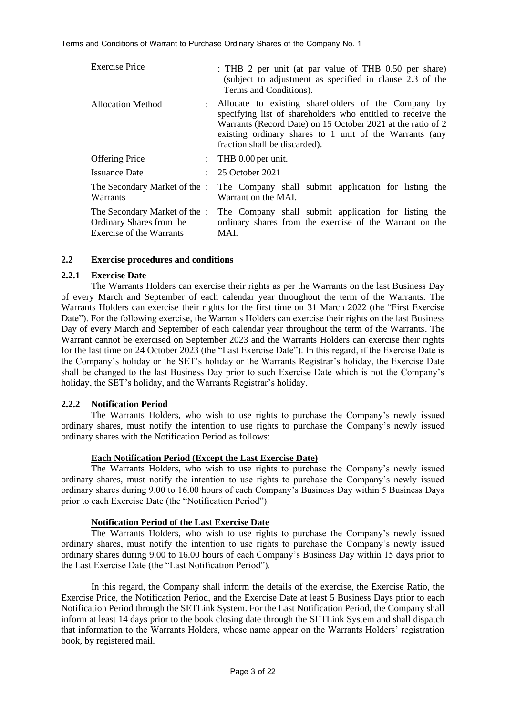| <b>Exercise Price</b>                                                                 | : THB 2 per unit (at par value of THB 0.50 per share)<br>(subject to adjustment as specified in clause 2.3 of the<br>Terms and Conditions).                                                                                                                                   |
|---------------------------------------------------------------------------------------|-------------------------------------------------------------------------------------------------------------------------------------------------------------------------------------------------------------------------------------------------------------------------------|
| Allocation Method<br>÷                                                                | Allocate to existing shareholders of the Company by<br>specifying list of shareholders who entitled to receive the<br>Warrants (Record Date) on 15 October 2021 at the ratio of 2<br>existing ordinary shares to 1 unit of the Warrants (any<br>fraction shall be discarded). |
| <b>Offering Price</b>                                                                 | : THB $0.00$ per unit.                                                                                                                                                                                                                                                        |
| <b>Issuance Date</b>                                                                  | 25 October 2021                                                                                                                                                                                                                                                               |
| The Secondary Market of the :<br>Warrants                                             | The Company shall submit application for listing the<br>Warrant on the MAI.                                                                                                                                                                                                   |
| The Secondary Market of the :<br>Ordinary Shares from the<br>Exercise of the Warrants | The Company shall submit application for listing the<br>ordinary shares from the exercise of the Warrant on the<br>MAI.                                                                                                                                                       |

### **2.2 Exercise procedures and conditions**

### **2.2.1 Exercise Date**

The Warrants Holders can exercise their rights as per the Warrants on the last Business Day of every March and September of each calendar year throughout the term of the Warrants. The Warrants Holders can exercise their rights for the first time on 31 March 2022 (the "First Exercise Date"). For the following exercise, the Warrants Holders can exercise their rights on the last Business Day of every March and September of each calendar year throughout the term of the Warrants. The Warrant cannot be exercised on September 2023 and the Warrants Holders can exercise their rights for the last time on 24 October 2023 (the "Last Exercise Date"). In this regard, if the Exercise Date is the Company's holiday or the SET's holiday or the Warrants Registrar's holiday, the Exercise Date shall be changed to the last Business Day prior to such Exercise Date which is not the Company's holiday, the SET's holiday, and the Warrants Registrar's holiday.

### **2.2.2 Notification Period**

The Warrants Holders, who wish to use rights to purchase the Company's newly issued ordinary shares, must notify the intention to use rights to purchase the Company's newly issued ordinary shares with the Notification Period as follows:

#### **Each Notification Period (Except the Last Exercise Date)**

The Warrants Holders, who wish to use rights to purchase the Company's newly issued ordinary shares, must notify the intention to use rights to purchase the Company's newly issued ordinary shares during 9.00 to 16.00 hours of each Company's Business Day within 5 Business Days prior to each Exercise Date (the "Notification Period").

### **Notification Period of the Last Exercise Date**

The Warrants Holders, who wish to use rights to purchase the Company's newly issued ordinary shares, must notify the intention to use rights to purchase the Company's newly issued ordinary shares during 9.00 to 16.00 hours of each Company's Business Day within 15 days prior to the Last Exercise Date (the "Last Notification Period").

In this regard, the Company shall inform the details of the exercise, the Exercise Ratio, the Exercise Price, the Notification Period, and the Exercise Date at least 5 Business Days prior to each Notification Period through the SETLink System. For the Last Notification Period, the Company shall inform at least 14 days prior to the book closing date through the SETLink System and shall dispatch that information to the Warrants Holders, whose name appear on the Warrants Holders' registration book, by registered mail.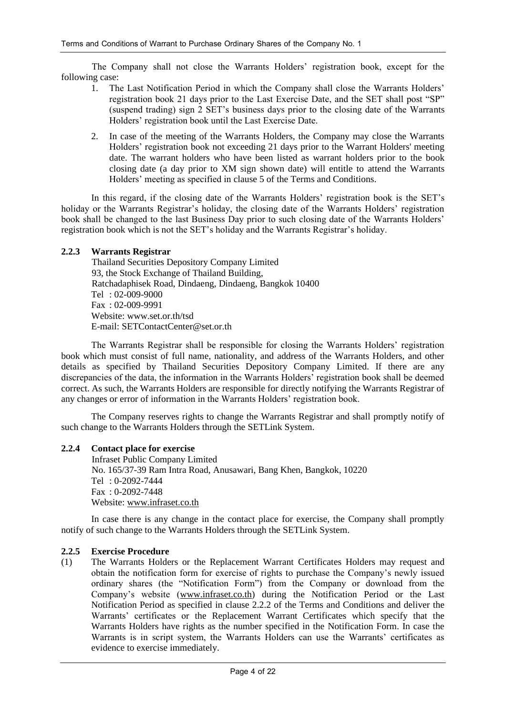The Company shall not close the Warrants Holders' registration book, except for the following case:

- 1. The Last Notification Period in which the Company shall close the Warrants Holders' registration book 21 days prior to the Last Exercise Date, and the SET shall post "SP" (suspend trading) sign 2 SET's business days prior to the closing date of the Warrants Holders' registration book until the Last Exercise Date.
- 2. In case of the meeting of the Warrants Holders, the Company may close the Warrants Holders' registration book not exceeding 21 days prior to the Warrant Holders' meeting date. The warrant holders who have been listed as warrant holders prior to the book closing date (a day prior to XM sign shown date) will entitle to attend the Warrants Holders' meeting as specified in clause 5 of the Terms and Conditions.

In this regard, if the closing date of the Warrants Holders' registration book is the SET's holiday or the Warrants Registrar's holiday, the closing date of the Warrants Holders' registration book shall be changed to the last Business Day prior to such closing date of the Warrants Holders' registration book which is not the SET's holiday and the Warrants Registrar's holiday.

### **2.2.3 Warrants Registrar**

Thailand Securities Depository Company Limited 93, the Stock Exchange of Thailand Building, Ratchadaphisek Road, Dindaeng, Dindaeng, Bangkok 10400 Tel : 02-009-9000 Fax : 02-009-9991 Website: www.set.or.th/tsd E-mail: SETContactCenter@set.or.th

The Warrants Registrar shall be responsible for closing the Warrants Holders' registration book which must consist of full name, nationality, and address of the Warrants Holders, and other details as specified by Thailand Securities Depository Company Limited. If there are any discrepancies of the data, the information in the Warrants Holders' registration book shall be deemed correct. As such, the Warrants Holders are responsible for directly notifying the Warrants Registrar of any changes or error of information in the Warrants Holders' registration book.

The Company reserves rights to change the Warrants Registrar and shall promptly notify of such change to the Warrants Holders through the SETLink System.

#### **2.2.4 Contact place for exercise**

Infraset Public Company Limited No. 165/37-39 Ram Intra Road, Anusawari, Bang Khen, Bangkok, 10220 Tel : 0-2092-7444 Fax : 0-2092-7448 Website: [www.infraset.co.th](http://www.infraset.co.th/)

In case there is any change in the contact place for exercise, the Company shall promptly notify of such change to the Warrants Holders through the SETLink System.

#### **2.2.5 Exercise Procedure**

(1) The Warrants Holders or the Replacement Warrant Certificates Holders may request and obtain the notification form for exercise of rights to purchase the Company's newly issued ordinary shares (the "Notification Form") from the Company or download from the Company's website [\(www.infraset.co.th\)](http://www.infraset.co.th/) during the Notification Period or the Last Notification Period as specified in clause 2.2.2 of the Terms and Conditions and deliver the Warrants' certificates or the Replacement Warrant Certificates which specify that the Warrants Holders have rights as the number specified in the Notification Form. In case the Warrants is in script system, the Warrants Holders can use the Warrants' certificates as evidence to exercise immediately.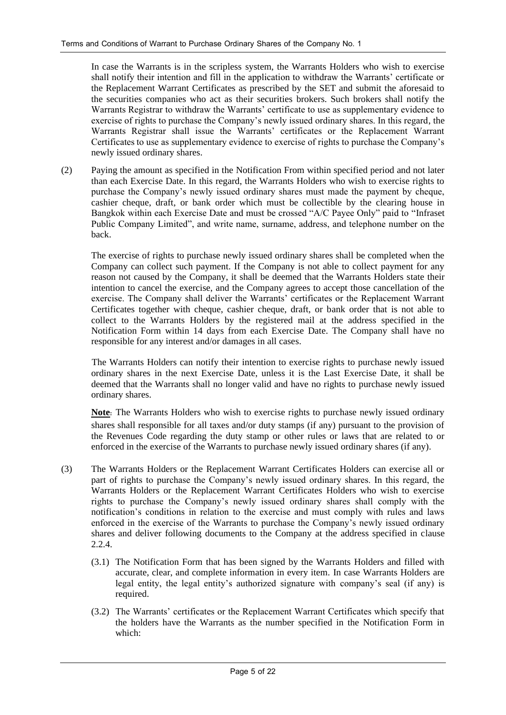In case the Warrants is in the scripless system, the Warrants Holders who wish to exercise shall notify their intention and fill in the application to withdraw the Warrants' certificate or the Replacement Warrant Certificates as prescribed by the SET and submit the aforesaid to the securities companies who act as their securities brokers. Such brokers shall notify the Warrants Registrar to withdraw the Warrants' certificate to use as supplementary evidence to exercise of rights to purchase the Company's newly issued ordinary shares. In this regard, the Warrants Registrar shall issue the Warrants' certificates or the Replacement Warrant Certificates to use as supplementary evidence to exercise of rights to purchase the Company's newly issued ordinary shares.

(2) Paying the amount as specified in the Notification From within specified period and not later than each Exercise Date. In this regard, the Warrants Holders who wish to exercise rights to purchase the Company's newly issued ordinary shares must made the payment by cheque, cashier cheque, draft, or bank order which must be collectible by the clearing house in Bangkok within each Exercise Date and must be crossed "A/C Payee Only" paid to "Infraset Public Company Limited", and write name, surname, address, and telephone number on the back.

The exercise of rights to purchase newly issued ordinary shares shall be completed when the Company can collect such payment. If the Company is not able to collect payment for any reason not caused by the Company, it shall be deemed that the Warrants Holders state their intention to cancel the exercise, and the Company agrees to accept those cancellation of the exercise. The Company shall deliver the Warrants' certificates or the Replacement Warrant Certificates together with cheque, cashier cheque, draft, or bank order that is not able to collect to the Warrants Holders by the registered mail at the address specified in the Notification Form within 14 days from each Exercise Date. The Company shall have no responsible for any interest and/or damages in all cases.

The Warrants Holders can notify their intention to exercise rights to purchase newly issued ordinary shares in the next Exercise Date, unless it is the Last Exercise Date, it shall be deemed that the Warrants shall no longer valid and have no rights to purchase newly issued ordinary shares.

**Note:** The Warrants Holders who wish to exercise rights to purchase newly issued ordinary shares shall responsible for all taxes and/or duty stamps (if any) pursuant to the provision of the Revenues Code regarding the duty stamp or other rules or laws that are related to or enforced in the exercise of the Warrants to purchase newly issued ordinary shares (if any).

- (3) The Warrants Holders or the Replacement Warrant Certificates Holders can exercise all or part of rights to purchase the Company's newly issued ordinary shares. In this regard, the Warrants Holders or the Replacement Warrant Certificates Holders who wish to exercise rights to purchase the Company's newly issued ordinary shares shall comply with the notification's conditions in relation to the exercise and must comply with rules and laws enforced in the exercise of the Warrants to purchase the Company's newly issued ordinary shares and deliver following documents to the Company at the address specified in clause 2.2.4.
	- (3.1) The Notification Form that has been signed by the Warrants Holders and filled with accurate, clear, and complete information in every item. In case Warrants Holders are legal entity, the legal entity's authorized signature with company's seal (if any) is required.
	- (3.2) The Warrants' certificates or the Replacement Warrant Certificates which specify that the holders have the Warrants as the number specified in the Notification Form in which: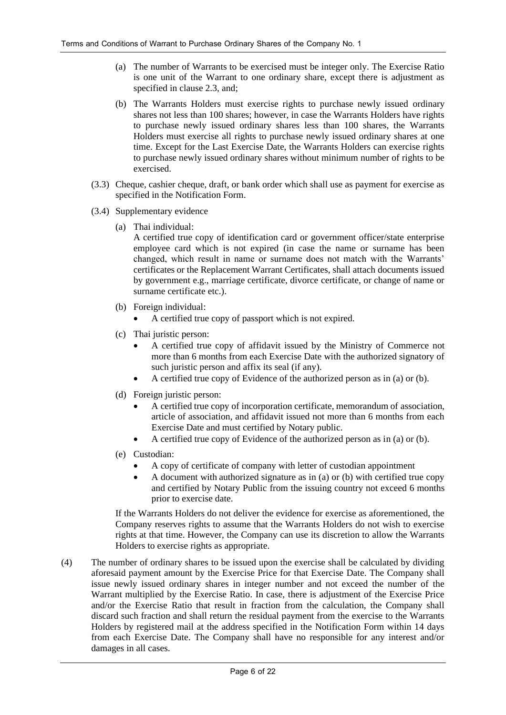- (a) The number of Warrants to be exercised must be integer only. The Exercise Ratio is one unit of the Warrant to one ordinary share, except there is adjustment as specified in clause 2.3, and;
- (b) The Warrants Holders must exercise rights to purchase newly issued ordinary shares not less than 100 shares; however, in case the Warrants Holders have rights to purchase newly issued ordinary shares less than 100 shares, the Warrants Holders must exercise all rights to purchase newly issued ordinary shares at one time. Except for the Last Exercise Date, the Warrants Holders can exercise rights to purchase newly issued ordinary shares without minimum number of rights to be exercised.
- (3.3) Cheque, cashier cheque, draft, or bank order which shall use as payment for exercise as specified in the Notification Form.
- (3.4) Supplementary evidence
	- (a) Thai individual:

A certified true copy of identification card or government officer/state enterprise employee card which is not expired (in case the name or surname has been changed, which result in name or surname does not match with the Warrants' certificates or the Replacement Warrant Certificates, shall attach documents issued by government e.g., marriage certificate, divorce certificate, or change of name or surname certificate etc.).

- (b) Foreign individual:
	- A certified true copy of passport which is not expired.
- (c) Thai juristic person:
	- A certified true copy of affidavit issued by the Ministry of Commerce not more than 6 months from each Exercise Date with the authorized signatory of such juristic person and affix its seal (if any).
	- A certified true copy of Evidence of the authorized person as in (a) or (b).
- (d) Foreign juristic person:
	- A certified true copy of incorporation certificate, memorandum of association, article of association, and affidavit issued not more than 6 months from each Exercise Date and must certified by Notary public.
	- A certified true copy of Evidence of the authorized person as in (a) or (b).
- (e) Custodian:
	- A copy of certificate of company with letter of custodian appointment
	- A document with authorized signature as in (a) or (b) with certified true copy and certified by Notary Public from the issuing country not exceed 6 months prior to exercise date.

If the Warrants Holders do not deliver the evidence for exercise as aforementioned, the Company reserves rights to assume that the Warrants Holders do not wish to exercise rights at that time. However, the Company can use its discretion to allow the Warrants Holders to exercise rights as appropriate.

(4) The number of ordinary shares to be issued upon the exercise shall be calculated by dividing aforesaid payment amount by the Exercise Price for that Exercise Date. The Company shall issue newly issued ordinary shares in integer number and not exceed the number of the Warrant multiplied by the Exercise Ratio. In case, there is adjustment of the Exercise Price and/or the Exercise Ratio that result in fraction from the calculation, the Company shall discard such fraction and shall return the residual payment from the exercise to the Warrants Holders by registered mail at the address specified in the Notification Form within 14 days from each Exercise Date. The Company shall have no responsible for any interest and/or damages in all cases.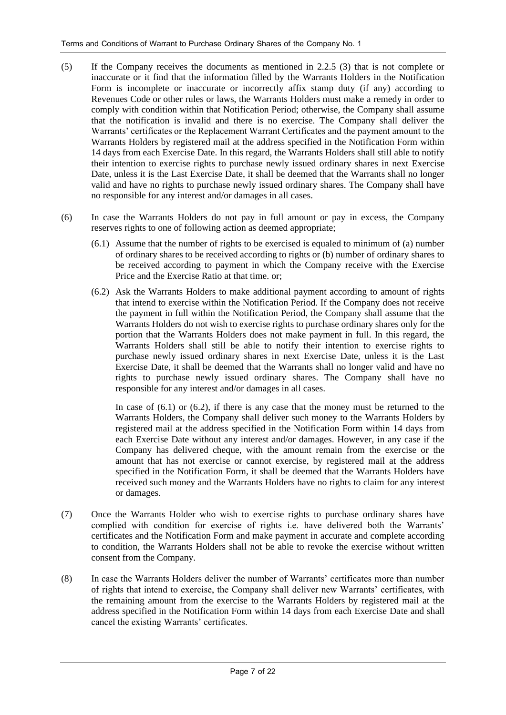- (5) If the Company receives the documents as mentioned in 2.2.5 (3) that is not complete or inaccurate or it find that the information filled by the Warrants Holders in the Notification Form is incomplete or inaccurate or incorrectly affix stamp duty (if any) according to Revenues Code or other rules or laws, the Warrants Holders must make a remedy in order to comply with condition within that Notification Period; otherwise, the Company shall assume that the notification is invalid and there is no exercise. The Company shall deliver the Warrants' certificates or the Replacement Warrant Certificates and the payment amount to the Warrants Holders by registered mail at the address specified in the Notification Form within 14 days from each Exercise Date. In this regard, the Warrants Holders shall still able to notify their intention to exercise rights to purchase newly issued ordinary shares in next Exercise Date, unless it is the Last Exercise Date, it shall be deemed that the Warrants shall no longer valid and have no rights to purchase newly issued ordinary shares. The Company shall have no responsible for any interest and/or damages in all cases.
- (6) In case the Warrants Holders do not pay in full amount or pay in excess, the Company reserves rights to one of following action as deemed appropriate;
	- (6.1) Assume that the number of rights to be exercised is equaled to minimum of (a) number of ordinary shares to be received according to rights or (b) number of ordinary shares to be received according to payment in which the Company receive with the Exercise Price and the Exercise Ratio at that time. or;
	- (6.2) Ask the Warrants Holders to make additional payment according to amount of rights that intend to exercise within the Notification Period. If the Company does not receive the payment in full within the Notification Period, the Company shall assume that the Warrants Holders do not wish to exercise rights to purchase ordinary shares only for the portion that the Warrants Holders does not make payment in full. In this regard, the Warrants Holders shall still be able to notify their intention to exercise rights to purchase newly issued ordinary shares in next Exercise Date, unless it is the Last Exercise Date, it shall be deemed that the Warrants shall no longer valid and have no rights to purchase newly issued ordinary shares. The Company shall have no responsible for any interest and/or damages in all cases.

In case of  $(6.1)$  or  $(6.2)$ , if there is any case that the money must be returned to the Warrants Holders, the Company shall deliver such money to the Warrants Holders by registered mail at the address specified in the Notification Form within 14 days from each Exercise Date without any interest and/or damages. However, in any case if the Company has delivered cheque, with the amount remain from the exercise or the amount that has not exercise or cannot exercise, by registered mail at the address specified in the Notification Form, it shall be deemed that the Warrants Holders have received such money and the Warrants Holders have no rights to claim for any interest or damages.

- (7) Once the Warrants Holder who wish to exercise rights to purchase ordinary shares have complied with condition for exercise of rights i.e. have delivered both the Warrants' certificates and the Notification Form and make payment in accurate and complete according to condition, the Warrants Holders shall not be able to revoke the exercise without written consent from the Company.
- (8) In case the Warrants Holders deliver the number of Warrants' certificates more than number of rights that intend to exercise, the Company shall deliver new Warrants' certificates, with the remaining amount from the exercise to the Warrants Holders by registered mail at the address specified in the Notification Form within 14 days from each Exercise Date and shall cancel the existing Warrants' certificates.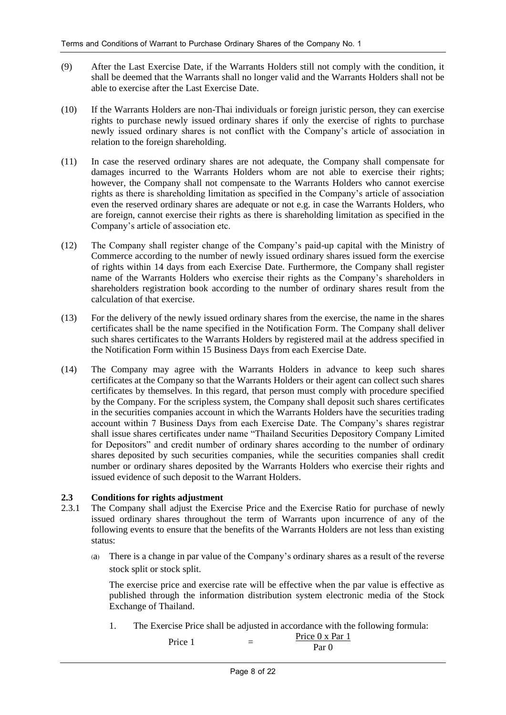- (9) After the Last Exercise Date, if the Warrants Holders still not comply with the condition, it shall be deemed that the Warrants shall no longer valid and the Warrants Holders shall not be able to exercise after the Last Exercise Date.
- (10) If the Warrants Holders are non-Thai individuals or foreign juristic person, they can exercise rights to purchase newly issued ordinary shares if only the exercise of rights to purchase newly issued ordinary shares is not conflict with the Company's article of association in relation to the foreign shareholding.
- (11) In case the reserved ordinary shares are not adequate, the Company shall compensate for damages incurred to the Warrants Holders whom are not able to exercise their rights; however, the Company shall not compensate to the Warrants Holders who cannot exercise rights as there is shareholding limitation as specified in the Company's article of association even the reserved ordinary shares are adequate or not e.g. in case the Warrants Holders, who are foreign, cannot exercise their rights as there is shareholding limitation as specified in the Company's article of association etc.
- (12) The Company shall register change of the Company's paid-up capital with the Ministry of Commerce according to the number of newly issued ordinary shares issued form the exercise of rights within 14 days from each Exercise Date. Furthermore, the Company shall register name of the Warrants Holders who exercise their rights as the Company's shareholders in shareholders registration book according to the number of ordinary shares result from the calculation of that exercise.
- (13) For the delivery of the newly issued ordinary shares from the exercise, the name in the shares certificates shall be the name specified in the Notification Form. The Company shall deliver such shares certificates to the Warrants Holders by registered mail at the address specified in the Notification Form within 15 Business Days from each Exercise Date.
- (14) The Company may agree with the Warrants Holders in advance to keep such shares certificates at the Company so that the Warrants Holders or their agent can collect such shares certificates by themselves. In this regard, that person must comply with procedure specified by the Company. For the scripless system, the Company shall deposit such shares certificates in the securities companies account in which the Warrants Holders have the securities trading account within 7 Business Days from each Exercise Date. The Company's shares registrar shall issue shares certificates under name "Thailand Securities Depository Company Limited for Depositors" and credit number of ordinary shares according to the number of ordinary shares deposited by such securities companies, while the securities companies shall credit number or ordinary shares deposited by the Warrants Holders who exercise their rights and issued evidence of such deposit to the Warrant Holders.

### **2.3 Conditions for rights adjustment**

- 2.3.1 The Company shall adjust the Exercise Price and the Exercise Ratio for purchase of newly issued ordinary shares throughout the term of Warrants upon incurrence of any of the following events to ensure that the benefits of the Warrants Holders are not less than existing status:
	- (a) There is a change in par value of the Company's ordinary shares as a result of the reverse stock split or stock split.

The exercise price and exercise rate will be effective when the par value is effective as published through the information distribution system electronic media of the Stock Exchange of Thailand.

1. The Exercise Price shall be adjusted in accordance with the following formula:

Price  $1 \qquad \qquad \equiv$ Price 0 x Par 1 Par 0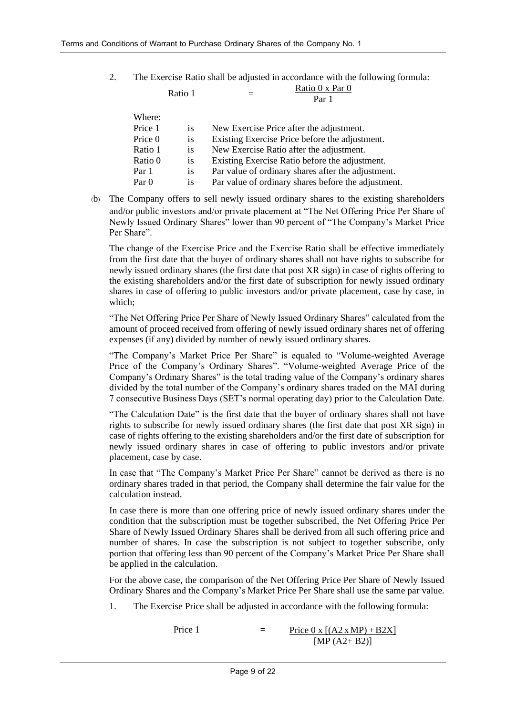$R_{\text{R}}$   $\ddot{\text{R}}$  = 1

2. The Exercise Ratio shall be adjusted in accordance with the following formula: Ratio 0 x Par 0

|         | natio 1   | Par 1                                               |
|---------|-----------|-----------------------------------------------------|
| Where:  |           |                                                     |
| Price 1 | <i>is</i> | New Exercise Price after the adjustment.            |
| Price 0 | is        | Existing Exercise Price before the adjustment.      |
| Ratio 1 | is        | New Exercise Ratio after the adjustment.            |
| Ratio 0 | is        | Existing Exercise Ratio before the adjustment.      |
| Par 1   | is        | Par value of ordinary shares after the adjustment.  |
| Par 0   | 1S        | Par value of ordinary shares before the adjustment. |
|         |           |                                                     |

(b) The Company offers to sell newly issued ordinary shares to the existing shareholders and/or public investors and/or private placement at "The Net Offering Price Per Share of Newly Issued Ordinary Shares" lower than 90 percent of "The Company's Market Price Per Share".

The change of the Exercise Price and the Exercise Ratio shall be effective immediately from the first date that the buyer of ordinary shares shall not have rights to subscribe for newly issued ordinary shares (the first date that post XR sign) in case of rights offering to the existing shareholders and/or the first date of subscription for newly issued ordinary shares in case of offering to public investors and/or private placement, case by case, in which;

"The Net Offering Price Per Share of Newly Issued Ordinary Shares" calculated from the amount of proceed received from offering of newly issued ordinary shares net of offering expenses (if any) divided by number of newly issued ordinary shares.

"The Company's Market Price Per Share" is equaled to "Volume-weighted Average Price of the Company's Ordinary Shares". "Volume-weighted Average Price of the Company's Ordinary Shares" is the total trading value of the Company's ordinary shares divided by the total number of the Company's ordinary shares traded on the MAI during 7 consecutive Business Days (SET's normal operating day) prior to the Calculation Date.

"The Calculation Date" is the first date that the buyer of ordinary shares shall not have rights to subscribe for newly issued ordinary shares (the first date that post XR sign) in case of rights offering to the existing shareholders and/or the first date of subscription for newly issued ordinary shares in case of offering to public investors and/or private placement, case by case.

In case that "The Company's Market Price Per Share" cannot be derived as there is no ordinary shares traded in that period, the Company shall determine the fair value for the calculation instead.

In case there is more than one offering price of newly issued ordinary shares under the condition that the subscription must be together subscribed, the Net Offering Price Per Share of Newly Issued Ordinary Shares shall be derived from all such offering price and number of shares. In case the subscription is not subject to together subscribe, only portion that offering less than 90 percent of the Company's Market Price Per Share shall be applied in the calculation.

For the above case, the comparison of the Net Offering Price Per Share of Newly Issued Ordinary Shares and the Company's Market Price Per Share shall use the same par value.

1. The Exercise Price shall be adjusted in accordance with the following formula:

Price 1 = Price  $0 \times [(A2 \times MP) + B2X]$  $[MP (A2 + B2)]$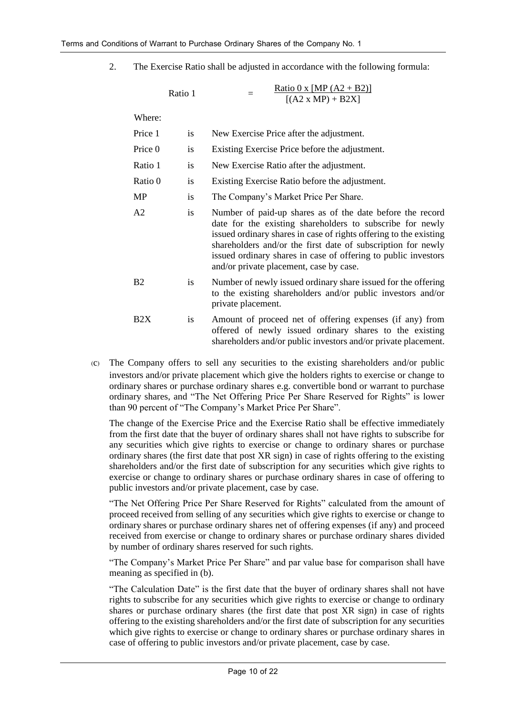2. The Exercise Ratio shall be adjusted in accordance with the following formula:

|         | Ratio 1   | Ratio 0 x [MP $(A2 + B2)$ ]<br>$[(A2 \times MP) + B2X]$ |
|---------|-----------|---------------------------------------------------------|
| Where:  |           |                                                         |
| Price 1 | <b>1S</b> | New Exercise Price after the adjustment.                |
| Price 0 | <b>1S</b> | Existing Exercise Price before the adjustment.          |
| Ratio 1 | <b>1S</b> | New Exercise Ratio after the adjustment.                |
|         |           |                                                         |

Ratio 0 is Existing Exercise Ratio before the adjustment.

MP is The Company's Market Price Per Share.

- A2 is Number of paid-up shares as of the date before the record date for the existing shareholders to subscribe for newly issued ordinary shares in case of rights offering to the existing shareholders and/or the first date of subscription for newly issued ordinary shares in case of offering to public investors and/or private placement, case by case.
- B2 is Number of newly issued ordinary share issued for the offering to the existing shareholders and/or public investors and/or private placement.
- B2X is Amount of proceed net of offering expenses (if any) from offered of newly issued ordinary shares to the existing shareholders and/or public investors and/or private placement.
- (c) The Company offers to sell any securities to the existing shareholders and/or public investors and/or private placement which give the holders rights to exercise or change to ordinary shares or purchase ordinary shares e.g. convertible bond or warrant to purchase ordinary shares, and "The Net Offering Price Per Share Reserved for Rights" is lower than 90 percent of "The Company's Market Price Per Share".

The change of the Exercise Price and the Exercise Ratio shall be effective immediately from the first date that the buyer of ordinary shares shall not have rights to subscribe for any securities which give rights to exercise or change to ordinary shares or purchase ordinary shares (the first date that post XR sign) in case of rights offering to the existing shareholders and/or the first date of subscription for any securities which give rights to exercise or change to ordinary shares or purchase ordinary shares in case of offering to public investors and/or private placement, case by case.

"The Net Offering Price Per Share Reserved for Rights" calculated from the amount of proceed received from selling of any securities which give rights to exercise or change to ordinary shares or purchase ordinary shares net of offering expenses (if any) and proceed received from exercise or change to ordinary shares or purchase ordinary shares divided by number of ordinary shares reserved for such rights.

"The Company's Market Price Per Share" and par value base for comparison shall have meaning as specified in (b).

"The Calculation Date" is the first date that the buyer of ordinary shares shall not have rights to subscribe for any securities which give rights to exercise or change to ordinary shares or purchase ordinary shares (the first date that post XR sign) in case of rights offering to the existing shareholders and/or the first date of subscription for any securities which give rights to exercise or change to ordinary shares or purchase ordinary shares in case of offering to public investors and/or private placement, case by case.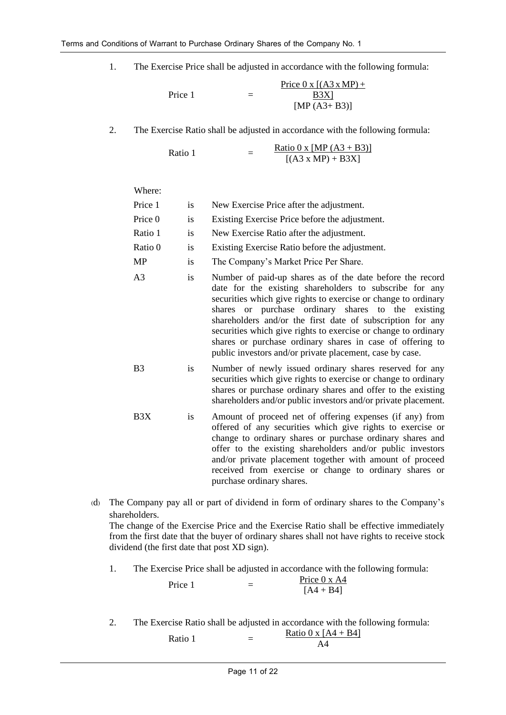1. The Exercise Price shall be adjusted in accordance with the following formula:

$$
Price 1 = \frac{Price 0 x [(A3 x MP) +}{B3X]}[MP (A3+B3)]
$$

2. The Exercise Ratio shall be adjusted in accordance with the following formula:

Ratio 1  $=$ <u>Ratio 0 x [MP (A3 + B3)]</u>  $[(A3 \times MP) + B3X]$ 

Where:

| Price 1        | is        | New Exercise Price after the adjustment.                                                                                                                                                                                                                                                                                                                                                                                                                                                              |
|----------------|-----------|-------------------------------------------------------------------------------------------------------------------------------------------------------------------------------------------------------------------------------------------------------------------------------------------------------------------------------------------------------------------------------------------------------------------------------------------------------------------------------------------------------|
| Price 0        | is        | Existing Exercise Price before the adjustment.                                                                                                                                                                                                                                                                                                                                                                                                                                                        |
| Ratio 1        | is        | New Exercise Ratio after the adjustment.                                                                                                                                                                                                                                                                                                                                                                                                                                                              |
| Ratio 0        | is        | Existing Exercise Ratio before the adjustment.                                                                                                                                                                                                                                                                                                                                                                                                                                                        |
| <b>MP</b>      | is        | The Company's Market Price Per Share.                                                                                                                                                                                                                                                                                                                                                                                                                                                                 |
| A <sub>3</sub> | is        | Number of paid-up shares as of the date before the record<br>date for the existing shareholders to subscribe for any<br>securities which give rights to exercise or change to ordinary<br>shares or purchase ordinary shares to the existing<br>shareholders and/or the first date of subscription for any<br>securities which give rights to exercise or change to ordinary<br>shares or purchase ordinary shares in case of offering to<br>public investors and/or private placement, case by case. |
| B <sub>3</sub> | is        | Number of newly issued ordinary shares reserved for any<br>securities which give rights to exercise or change to ordinary<br>shares or purchase ordinary shares and offer to the existing<br>shareholders and/or public investors and/or private placement.                                                                                                                                                                                                                                           |
| B3X            | <i>is</i> | Amount of proceed net of offering expenses (if any) from<br>offered of any securities which give rights to exercise or<br>change to ordinary shares or purchase ordinary shares and<br>offer to the existing shareholders and/or public investors<br>and/or private placement together with amount of proceed<br>received from exercise or change to ordinary shares or<br>purchase ordinary shares.                                                                                                  |

- (d) The Company pay all or part of dividend in form of ordinary shares to the Company's shareholders. The change of the Exercise Price and the Exercise Ratio shall be effective immediately from the first date that the buyer of ordinary shares shall not have rights to receive stock dividend (the first date that post XD sign).
	- 1. The Exercise Price shall be adjusted in accordance with the following formula:

| Price 1 | Price $0 \times A4$ |
|---------|---------------------|
|         | $[A4 + B4]$         |

2. The Exercise Ratio shall be adjusted in accordance with the following formula:

| Ratio 1 | Ratio 0 x $[A4 + B4]$ |
|---------|-----------------------|
|         | AΔ                    |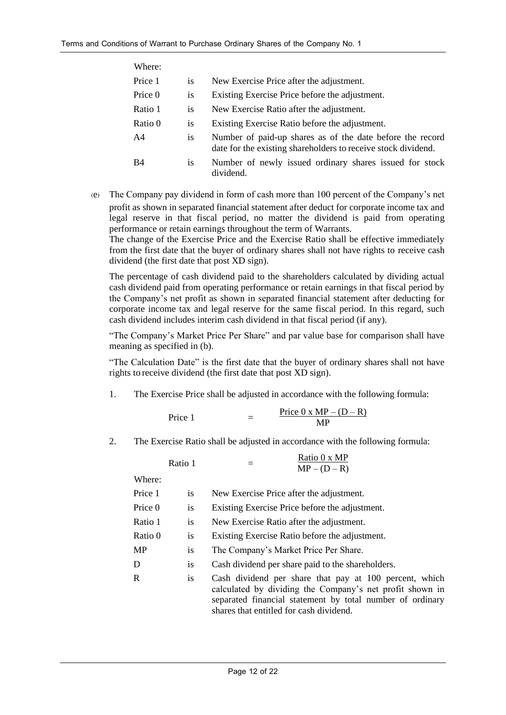| Where:         |           |                                                                                                                            |
|----------------|-----------|----------------------------------------------------------------------------------------------------------------------------|
| Price 1        | is.       | New Exercise Price after the adjustment.                                                                                   |
| Price 0        | is        | Existing Exercise Price before the adjustment.                                                                             |
| Ratio 1        | <i>is</i> | New Exercise Ratio after the adjustment.                                                                                   |
| Ratio 0        | is        | Existing Exercise Ratio before the adjustment.                                                                             |
| A <sub>4</sub> | is        | Number of paid-up shares as of the date before the record<br>date for the existing shareholders to receive stock dividend. |
| <b>B4</b>      | is        | Number of newly issued ordinary shares issued for stock<br>dividend.                                                       |

(e) The Company pay dividend in form of cash more than 100 percent of the Company's net profit as shown in separated financial statement after deduct for corporate income tax and legal reserve in that fiscal period, no matter the dividend is paid from operating performance or retain earnings throughout the term of Warrants. The change of the Exercise Price and the Exercise Ratio shall be effective immediately

from the first date that the buyer of ordinary shares shall not have rights to receive cash dividend (the first date that post XD sign).

The percentage of cash dividend paid to the shareholders calculated by dividing actual cash dividend paid from operating performance or retain earnings in that fiscal period by the Company's net profit as shown in separated financial statement after deducting for corporate income tax and legal reserve for the same fiscal period. In this regard, such cash dividend includes interim cash dividend in that fiscal period (if any).

"The Company's Market Price Per Share" and par value base for comparison shall have meaning as specified in (b).

"The Calculation Date" is the first date that the buyer of ordinary shares shall not have rights to receive dividend (the first date that post XD sign).

1. The Exercise Price shall be adjusted in accordance with the following formula:

|         |  | Price $0 \times MP - (D - R)$ |
|---------|--|-------------------------------|
| Price 1 |  | MР                            |

2. The Exercise Ratio shall be adjusted in accordance with the following formula:

|         | Ratio 1   | Ratio 0 x MP<br>$MP - (D - R)$                                                                                                                                                                                             |
|---------|-----------|----------------------------------------------------------------------------------------------------------------------------------------------------------------------------------------------------------------------------|
| Where:  |           |                                                                                                                                                                                                                            |
| Price 1 | is        | New Exercise Price after the adjustment.                                                                                                                                                                                   |
| Price 0 | is        | Existing Exercise Price before the adjustment.                                                                                                                                                                             |
| Ratio 1 | is        | New Exercise Ratio after the adjustment.                                                                                                                                                                                   |
| Ratio 0 | is        | Existing Exercise Ratio before the adjustment.                                                                                                                                                                             |
| MP      | is        | The Company's Market Price Per Share.                                                                                                                                                                                      |
| D       | <i>is</i> | Cash dividend per share paid to the shareholders.                                                                                                                                                                          |
| R       | <i>is</i> | Cash dividend per share that pay at 100 percent, which<br>calculated by dividing the Company's net profit shown in<br>separated financial statement by total number of ordinary<br>shares that entitled for cash dividend. |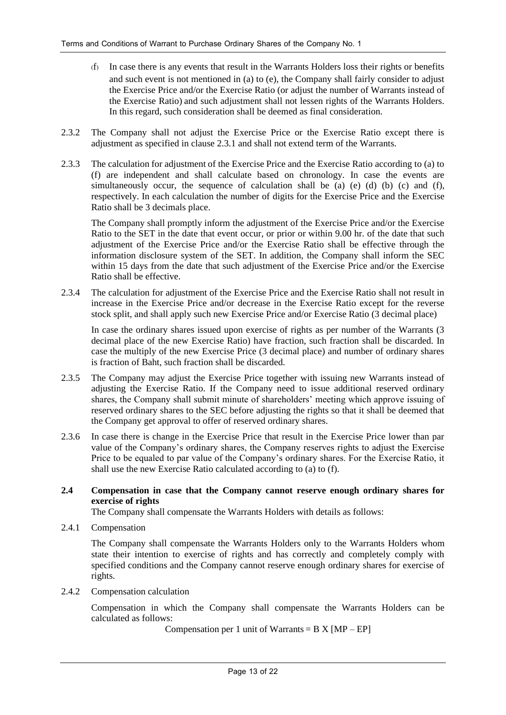- (f) In case there is any events that result in the Warrants Holders loss their rights or benefits and such event is not mentioned in (a) to (e), the Company shall fairly consider to adjust the Exercise Price and/or the Exercise Ratio (or adjust the number of Warrants instead of the Exercise Ratio) and such adjustment shall not lessen rights of the Warrants Holders. In this regard, such consideration shall be deemed as final consideration.
- 2.3.2 The Company shall not adjust the Exercise Price or the Exercise Ratio except there is adjustment as specified in clause 2.3.1 and shall not extend term of the Warrants.
- 2.3.3 The calculation for adjustment of the Exercise Price and the Exercise Ratio according to (a) to (f) are independent and shall calculate based on chronology. In case the events are simultaneously occur, the sequence of calculation shall be  $(a)$   $(e)$   $(d)$   $(b)$   $(c)$  and  $(f)$ , respectively. In each calculation the number of digits for the Exercise Price and the Exercise Ratio shall be 3 decimals place.

The Company shall promptly inform the adjustment of the Exercise Price and/or the Exercise Ratio to the SET in the date that event occur, or prior or within 9.00 hr. of the date that such adjustment of the Exercise Price and/or the Exercise Ratio shall be effective through the information disclosure system of the SET. In addition, the Company shall inform the SEC within 15 days from the date that such adjustment of the Exercise Price and/or the Exercise Ratio shall be effective.

2.3.4 The calculation for adjustment of the Exercise Price and the Exercise Ratio shall not result in increase in the Exercise Price and/or decrease in the Exercise Ratio except for the reverse stock split, and shall apply such new Exercise Price and/or Exercise Ratio (3 decimal place)

In case the ordinary shares issued upon exercise of rights as per number of the Warrants (3 decimal place of the new Exercise Ratio) have fraction, such fraction shall be discarded. In case the multiply of the new Exercise Price (3 decimal place) and number of ordinary shares is fraction of Baht, such fraction shall be discarded.

- 2.3.5 The Company may adjust the Exercise Price together with issuing new Warrants instead of adjusting the Exercise Ratio. If the Company need to issue additional reserved ordinary shares, the Company shall submit minute of shareholders' meeting which approve issuing of reserved ordinary shares to the SEC before adjusting the rights so that it shall be deemed that the Company get approval to offer of reserved ordinary shares.
- 2.3.6 In case there is change in the Exercise Price that result in the Exercise Price lower than par value of the Company's ordinary shares, the Company reserves rights to adjust the Exercise Price to be equaled to par value of the Company's ordinary shares. For the Exercise Ratio, it shall use the new Exercise Ratio calculated according to (a) to (f).

### **2.4 Compensation in case that the Company cannot reserve enough ordinary shares for exercise of rights**

The Company shall compensate the Warrants Holders with details as follows:

2.4.1 Compensation

The Company shall compensate the Warrants Holders only to the Warrants Holders whom state their intention to exercise of rights and has correctly and completely comply with specified conditions and the Company cannot reserve enough ordinary shares for exercise of rights.

2.4.2 Compensation calculation

Compensation in which the Company shall compensate the Warrants Holders can be calculated as follows:

Compensation per 1 unit of Warrants =  $B X [MP - EP]$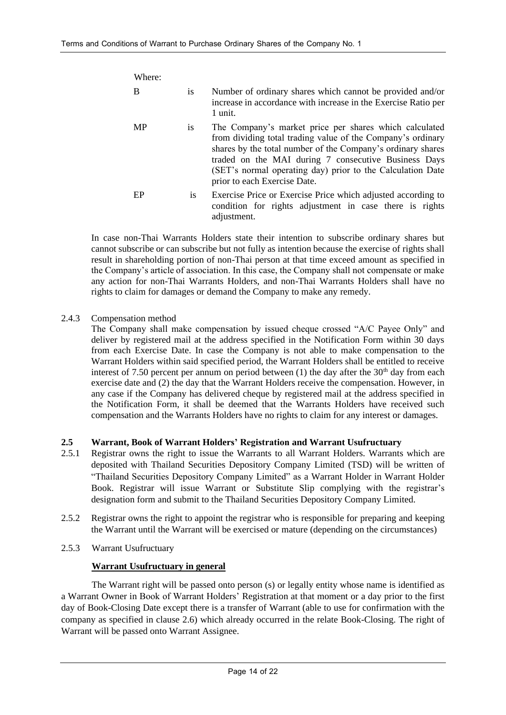| Where: |           |                                                                                                                                                                                                                                                                                                                                            |
|--------|-----------|--------------------------------------------------------------------------------------------------------------------------------------------------------------------------------------------------------------------------------------------------------------------------------------------------------------------------------------------|
| B      | <i>is</i> | Number of ordinary shares which cannot be provided and/or<br>increase in accordance with increase in the Exercise Ratio per<br>1 unit.                                                                                                                                                                                                     |
| MP     | 1S        | The Company's market price per shares which calculated<br>from dividing total trading value of the Company's ordinary<br>shares by the total number of the Company's ordinary shares<br>traded on the MAI during 7 consecutive Business Days<br>(SET's normal operating day) prior to the Calculation Date<br>prior to each Exercise Date. |
| EP     | is.       | Exercise Price or Exercise Price which adjusted according to<br>condition for rights adjustment in case there is rights<br>adjustment.                                                                                                                                                                                                     |

In case non-Thai Warrants Holders state their intention to subscribe ordinary shares but cannot subscribe or can subscribe but not fully as intention because the exercise of rights shall result in shareholding portion of non-Thai person at that time exceed amount as specified in the Company's article of association. In this case, the Company shall not compensate or make any action for non-Thai Warrants Holders, and non-Thai Warrants Holders shall have no rights to claim for damages or demand the Company to make any remedy.

# 2.4.3 Compensation method

The Company shall make compensation by issued cheque crossed "A/C Payee Only" and deliver by registered mail at the address specified in the Notification Form within 30 days from each Exercise Date. In case the Company is not able to make compensation to the Warrant Holders within said specified period, the Warrant Holders shall be entitled to receive interest of 7.50 percent per annum on period between (1) the day after the  $30<sup>th</sup>$  day from each exercise date and (2) the day that the Warrant Holders receive the compensation. However, in any case if the Company has delivered cheque by registered mail at the address specified in the Notification Form, it shall be deemed that the Warrants Holders have received such compensation and the Warrants Holders have no rights to claim for any interest or damages.

### **2.5 Warrant, Book of Warrant Holders' Registration and Warrant Usufructuary**

- 2.5.1 Registrar owns the right to issue the Warrants to all Warrant Holders. Warrants which are deposited with Thailand Securities Depository Company Limited (TSD) will be written of "Thailand Securities Depository Company Limited" as a Warrant Holder in Warrant Holder Book. Registrar will issue Warrant or Substitute Slip complying with the registrar's designation form and submit to the Thailand Securities Depository Company Limited.
- 2.5.2 Registrar owns the right to appoint the registrar who is responsible for preparing and keeping the Warrant until the Warrant will be exercised or mature (depending on the circumstances)
- 2.5.3 Warrant Usufructuary

### **Warrant Usufructuary in general**

The Warrant right will be passed onto person (s) or legally entity whose name is identified as a Warrant Owner in Book of Warrant Holders' Registration at that moment or a day prior to the first day of Book-Closing Date except there is a transfer of Warrant (able to use for confirmation with the company as specified in clause 2.6) which already occurred in the relate Book-Closing. The right of Warrant will be passed onto Warrant Assignee.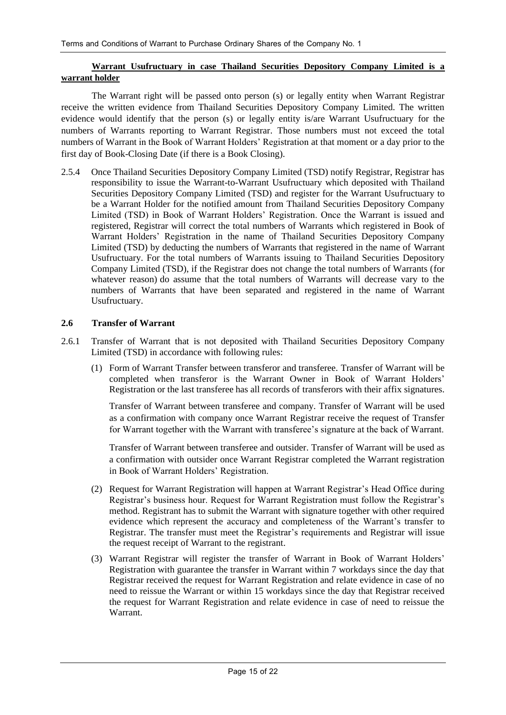### **Warrant Usufructuary in case Thailand Securities Depository Company Limited is a warrant holder**

The Warrant right will be passed onto person (s) or legally entity when Warrant Registrar receive the written evidence from Thailand Securities Depository Company Limited. The written evidence would identify that the person (s) or legally entity is/are Warrant Usufructuary for the numbers of Warrants reporting to Warrant Registrar. Those numbers must not exceed the total numbers of Warrant in the Book of Warrant Holders' Registration at that moment or a day prior to the first day of Book-Closing Date (if there is a Book Closing).

2.5.4 Once Thailand Securities Depository Company Limited (TSD) notify Registrar, Registrar has responsibility to issue the Warrant-to-Warrant Usufructuary which deposited with Thailand Securities Depository Company Limited (TSD) and register for the Warrant Usufructuary to be a Warrant Holder for the notified amount from Thailand Securities Depository Company Limited (TSD) in Book of Warrant Holders' Registration. Once the Warrant is issued and registered, Registrar will correct the total numbers of Warrants which registered in Book of Warrant Holders' Registration in the name of Thailand Securities Depository Company Limited (TSD) by deducting the numbers of Warrants that registered in the name of Warrant Usufructuary. For the total numbers of Warrants issuing to Thailand Securities Depository Company Limited (TSD), if the Registrar does not change the total numbers of Warrants (for whatever reason) do assume that the total numbers of Warrants will decrease vary to the numbers of Warrants that have been separated and registered in the name of Warrant Usufructuary.

#### **2.6 Transfer of Warrant**

- 2.6.1 Transfer of Warrant that is not deposited with Thailand Securities Depository Company Limited (TSD) in accordance with following rules:
	- (1) Form of Warrant Transfer between transferor and transferee. Transfer of Warrant will be completed when transferor is the Warrant Owner in Book of Warrant Holders' Registration or the last transferee has all records of transferors with their affix signatures.

Transfer of Warrant between transferee and company. Transfer of Warrant will be used as a confirmation with company once Warrant Registrar receive the request of Transfer for Warrant together with the Warrant with transferee's signature at the back of Warrant.

Transfer of Warrant between transferee and outsider. Transfer of Warrant will be used as a confirmation with outsider once Warrant Registrar completed the Warrant registration in Book of Warrant Holders' Registration.

- (2) Request for Warrant Registration will happen at Warrant Registrar's Head Office during Registrar's business hour. Request for Warrant Registration must follow the Registrar's method. Registrant has to submit the Warrant with signature together with other required evidence which represent the accuracy and completeness of the Warrant's transfer to Registrar. The transfer must meet the Registrar's requirements and Registrar will issue the request receipt of Warrant to the registrant.
- (3) Warrant Registrar will register the transfer of Warrant in Book of Warrant Holders' Registration with guarantee the transfer in Warrant within 7 workdays since the day that Registrar received the request for Warrant Registration and relate evidence in case of no need to reissue the Warrant or within 15 workdays since the day that Registrar received the request for Warrant Registration and relate evidence in case of need to reissue the Warrant.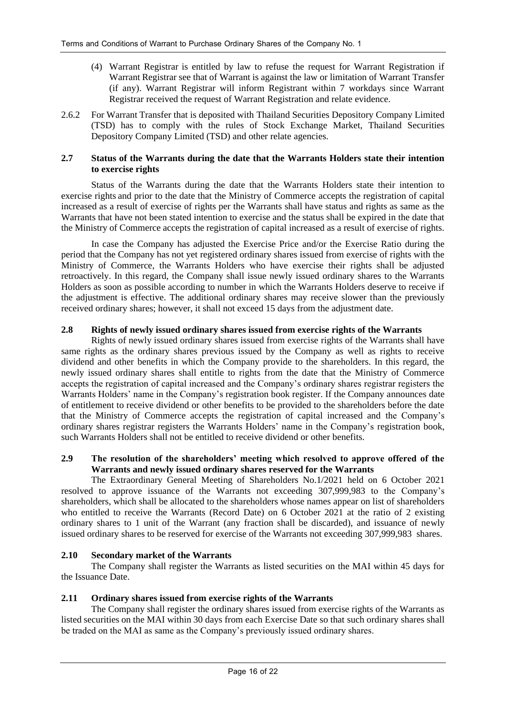- (4) Warrant Registrar is entitled by law to refuse the request for Warrant Registration if Warrant Registrar see that of Warrant is against the law or limitation of Warrant Transfer (if any). Warrant Registrar will inform Registrant within 7 workdays since Warrant Registrar received the request of Warrant Registration and relate evidence.
- 2.6.2 For Warrant Transfer that is deposited with Thailand Securities Depository Company Limited (TSD) has to comply with the rules of Stock Exchange Market, Thailand Securities Depository Company Limited (TSD) and other relate agencies.

#### **2.7 Status of the Warrants during the date that the Warrants Holders state their intention to exercise rights**

Status of the Warrants during the date that the Warrants Holders state their intention to exercise rights and prior to the date that the Ministry of Commerce accepts the registration of capital increased as a result of exercise of rights per the Warrants shall have status and rights as same as the Warrants that have not been stated intention to exercise and the status shall be expired in the date that the Ministry of Commerce accepts the registration of capital increased as a result of exercise of rights.

In case the Company has adjusted the Exercise Price and/or the Exercise Ratio during the period that the Company has not yet registered ordinary shares issued from exercise of rights with the Ministry of Commerce, the Warrants Holders who have exercise their rights shall be adjusted retroactively. In this regard, the Company shall issue newly issued ordinary shares to the Warrants Holders as soon as possible according to number in which the Warrants Holders deserve to receive if the adjustment is effective. The additional ordinary shares may receive slower than the previously received ordinary shares; however, it shall not exceed 15 days from the adjustment date.

#### **2.8 Rights of newly issued ordinary shares issued from exercise rights of the Warrants**

Rights of newly issued ordinary shares issued from exercise rights of the Warrants shall have same rights as the ordinary shares previous issued by the Company as well as rights to receive dividend and other benefits in which the Company provide to the shareholders. In this regard, the newly issued ordinary shares shall entitle to rights from the date that the Ministry of Commerce accepts the registration of capital increased and the Company's ordinary shares registrar registers the Warrants Holders' name in the Company's registration book register. If the Company announces date of entitlement to receive dividend or other benefits to be provided to the shareholders before the date that the Ministry of Commerce accepts the registration of capital increased and the Company's ordinary shares registrar registers the Warrants Holders' name in the Company's registration book, such Warrants Holders shall not be entitled to receive dividend or other benefits.

#### **2.9 The resolution of the shareholders' meeting which resolved to approve offered of the Warrants and newly issued ordinary shares reserved for the Warrants**

The Extraordinary General Meeting of Shareholders No.1/2021 held on 6 October 2021 resolved to approve issuance of the Warrants not exceeding 307,999,983 to the Company's shareholders, which shall be allocated to the shareholders whose names appear on list of shareholders who entitled to receive the Warrants (Record Date) on 6 October 2021 at the ratio of 2 existing ordinary shares to 1 unit of the Warrant (any fraction shall be discarded), and issuance of newly issued ordinary shares to be reserved for exercise of the Warrants not exceeding 307,999,983 shares.

#### **2.10 Secondary market of the Warrants**

The Company shall register the Warrants as listed securities on the MAI within 45 days for the Issuance Date.

#### **2.11 Ordinary shares issued from exercise rights of the Warrants**

The Company shall register the ordinary shares issued from exercise rights of the Warrants as listed securities on the MAI within 30 days from each Exercise Date so that such ordinary shares shall be traded on the MAI as same as the Company's previously issued ordinary shares.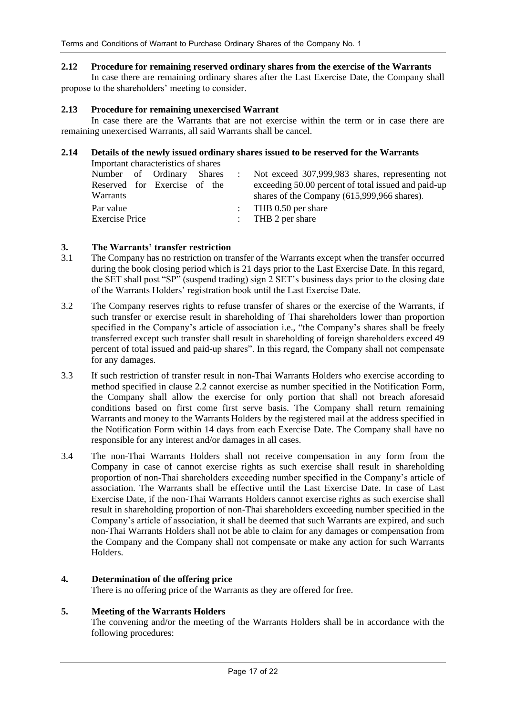#### **2.12 Procedure for remaining reserved ordinary shares from the exercise of the Warrants**

In case there are remaining ordinary shares after the Last Exercise Date, the Company shall propose to the shareholders' meeting to consider.

#### **2.13 Procedure for remaining unexercised Warrant**

In case there are the Warrants that are not exercise within the term or in case there are remaining unexercised Warrants, all said Warrants shall be cancel.

#### **2.14 Details of the newly issued ordinary shares issued to be reserved for the Warrants**

| Important characteristics of shares |  |  |                                                     |
|-------------------------------------|--|--|-----------------------------------------------------|
| Number of Ordinary Shares           |  |  | Not exceed 307,999,983 shares, representing not     |
| Reserved for Exercise of the        |  |  | exceeding 50.00 percent of total issued and paid-up |
| Warrants                            |  |  | shares of the Company (615,999,966 shares).         |
| Par value                           |  |  | : THB $0.50$ per share                              |
| <b>Exercise Price</b>               |  |  | : THB 2 per share                                   |

#### **3. The Warrants' transfer restriction**

- 3.1 The Company has no restriction on transfer of the Warrants except when the transfer occurred during the book closing period which is 21 days prior to the Last Exercise Date. In this regard, the SET shall post "SP" (suspend trading) sign 2 SET's business days prior to the closing date of the Warrants Holders' registration book until the Last Exercise Date.
- 3.2 The Company reserves rights to refuse transfer of shares or the exercise of the Warrants, if such transfer or exercise result in shareholding of Thai shareholders lower than proportion specified in the Company's article of association i.e., "the Company's shares shall be freely transferred except such transfer shall result in shareholding of foreign shareholders exceed 49 percent of total issued and paid-up shares". In this regard, the Company shall not compensate for any damages.
- 3.3 If such restriction of transfer result in non-Thai Warrants Holders who exercise according to method specified in clause 2.2 cannot exercise as number specified in the Notification Form, the Company shall allow the exercise for only portion that shall not breach aforesaid conditions based on first come first serve basis. The Company shall return remaining Warrants and money to the Warrants Holders by the registered mail at the address specified in the Notification Form within 14 days from each Exercise Date. The Company shall have no responsible for any interest and/or damages in all cases.
- 3.4 The non-Thai Warrants Holders shall not receive compensation in any form from the Company in case of cannot exercise rights as such exercise shall result in shareholding proportion of non-Thai shareholders exceeding number specified in the Company's article of association. The Warrants shall be effective until the Last Exercise Date. In case of Last Exercise Date, if the non-Thai Warrants Holders cannot exercise rights as such exercise shall result in shareholding proportion of non-Thai shareholders exceeding number specified in the Company's article of association, it shall be deemed that such Warrants are expired, and such non-Thai Warrants Holders shall not be able to claim for any damages or compensation from the Company and the Company shall not compensate or make any action for such Warrants Holders.

### **4. Determination of the offering price**

There is no offering price of the Warrants as they are offered for free.

### **5. Meeting of the Warrants Holders**

The convening and/or the meeting of the Warrants Holders shall be in accordance with the following procedures: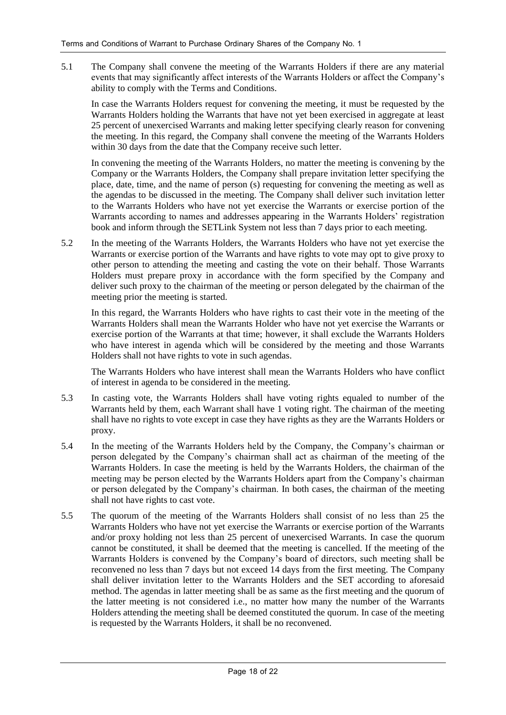5.1 The Company shall convene the meeting of the Warrants Holders if there are any material events that may significantly affect interests of the Warrants Holders or affect the Company's ability to comply with the Terms and Conditions.

In case the Warrants Holders request for convening the meeting, it must be requested by the Warrants Holders holding the Warrants that have not yet been exercised in aggregate at least 25 percent of unexercised Warrants and making letter specifying clearly reason for convening the meeting. In this regard, the Company shall convene the meeting of the Warrants Holders within 30 days from the date that the Company receive such letter.

In convening the meeting of the Warrants Holders, no matter the meeting is convening by the Company or the Warrants Holders, the Company shall prepare invitation letter specifying the place, date, time, and the name of person (s) requesting for convening the meeting as well as the agendas to be discussed in the meeting. The Company shall deliver such invitation letter to the Warrants Holders who have not yet exercise the Warrants or exercise portion of the Warrants according to names and addresses appearing in the Warrants Holders' registration book and inform through the SETLink System not less than 7 days prior to each meeting.

5.2 In the meeting of the Warrants Holders, the Warrants Holders who have not yet exercise the Warrants or exercise portion of the Warrants and have rights to vote may opt to give proxy to other person to attending the meeting and casting the vote on their behalf. Those Warrants Holders must prepare proxy in accordance with the form specified by the Company and deliver such proxy to the chairman of the meeting or person delegated by the chairman of the meeting prior the meeting is started.

In this regard, the Warrants Holders who have rights to cast their vote in the meeting of the Warrants Holders shall mean the Warrants Holder who have not yet exercise the Warrants or exercise portion of the Warrants at that time; however, it shall exclude the Warrants Holders who have interest in agenda which will be considered by the meeting and those Warrants Holders shall not have rights to vote in such agendas.

The Warrants Holders who have interest shall mean the Warrants Holders who have conflict of interest in agenda to be considered in the meeting.

- 5.3 In casting vote, the Warrants Holders shall have voting rights equaled to number of the Warrants held by them, each Warrant shall have 1 voting right. The chairman of the meeting shall have no rights to vote except in case they have rights as they are the Warrants Holders or proxy.
- 5.4 In the meeting of the Warrants Holders held by the Company, the Company's chairman or person delegated by the Company's chairman shall act as chairman of the meeting of the Warrants Holders. In case the meeting is held by the Warrants Holders, the chairman of the meeting may be person elected by the Warrants Holders apart from the Company's chairman or person delegated by the Company's chairman. In both cases, the chairman of the meeting shall not have rights to cast vote.
- 5.5 The quorum of the meeting of the Warrants Holders shall consist of no less than 25 the Warrants Holders who have not yet exercise the Warrants or exercise portion of the Warrants and/or proxy holding not less than 25 percent of unexercised Warrants. In case the quorum cannot be constituted, it shall be deemed that the meeting is cancelled. If the meeting of the Warrants Holders is convened by the Company's board of directors, such meeting shall be reconvened no less than 7 days but not exceed 14 days from the first meeting. The Company shall deliver invitation letter to the Warrants Holders and the SET according to aforesaid method. The agendas in latter meeting shall be as same as the first meeting and the quorum of the latter meeting is not considered i.e., no matter how many the number of the Warrants Holders attending the meeting shall be deemed constituted the quorum. In case of the meeting is requested by the Warrants Holders, it shall be no reconvened.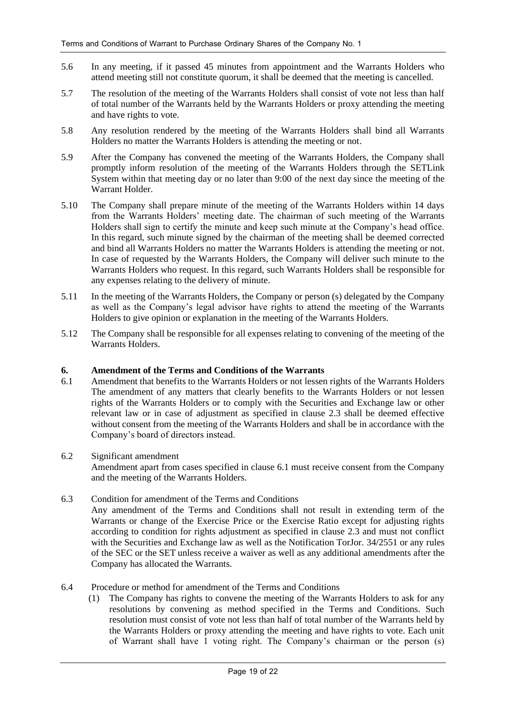- 5.6 In any meeting, if it passed 45 minutes from appointment and the Warrants Holders who attend meeting still not constitute quorum, it shall be deemed that the meeting is cancelled.
- 5.7 The resolution of the meeting of the Warrants Holders shall consist of vote not less than half of total number of the Warrants held by the Warrants Holders or proxy attending the meeting and have rights to vote.
- 5.8 Any resolution rendered by the meeting of the Warrants Holders shall bind all Warrants Holders no matter the Warrants Holders is attending the meeting or not.
- 5.9 After the Company has convened the meeting of the Warrants Holders, the Company shall promptly inform resolution of the meeting of the Warrants Holders through the SETLink System within that meeting day or no later than 9:00 of the next day since the meeting of the Warrant Holder.
- 5.10 The Company shall prepare minute of the meeting of the Warrants Holders within 14 days from the Warrants Holders' meeting date. The chairman of such meeting of the Warrants Holders shall sign to certify the minute and keep such minute at the Company's head office. In this regard, such minute signed by the chairman of the meeting shall be deemed corrected and bind all Warrants Holders no matter the Warrants Holders is attending the meeting or not. In case of requested by the Warrants Holders, the Company will deliver such minute to the Warrants Holders who request. In this regard, such Warrants Holders shall be responsible for any expenses relating to the delivery of minute.
- 5.11 In the meeting of the Warrants Holders, the Company or person (s) delegated by the Company as well as the Company's legal advisor have rights to attend the meeting of the Warrants Holders to give opinion or explanation in the meeting of the Warrants Holders.
- 5.12 The Company shall be responsible for all expenses relating to convening of the meeting of the Warrants Holders.

#### **6. Amendment of the Terms and Conditions of the Warrants**

6.1 Amendment that benefits to the Warrants Holders or not lessen rights of the Warrants Holders The amendment of any matters that clearly benefits to the Warrants Holders or not lessen rights of the Warrants Holders or to comply with the Securities and Exchange law or other relevant law or in case of adjustment as specified in clause 2.3 shall be deemed effective without consent from the meeting of the Warrants Holders and shall be in accordance with the Company's board of directors instead.

#### 6.2 Significant amendment

Amendment apart from cases specified in clause 6.1 must receive consent from the Company and the meeting of the Warrants Holders.

6.3 Condition for amendment of the Terms and Conditions Any amendment of the Terms and Conditions shall not result in extending term of the Warrants or change of the Exercise Price or the Exercise Ratio except for adjusting rights according to condition for rights adjustment as specified in clause 2.3 and must not conflict with the Securities and Exchange law as well as the Notification TorJor. 34/2551 or any rules of the SEC or the SET unless receive a waiver as well as any additional amendments after the Company has allocated the Warrants.

#### 6.4 Procedure or method for amendment of the Terms and Conditions

(1) The Company has rights to convene the meeting of the Warrants Holders to ask for any resolutions by convening as method specified in the Terms and Conditions. Such resolution must consist of vote not less than half of total number of the Warrants held by the Warrants Holders or proxy attending the meeting and have rights to vote. Each unit of Warrant shall have 1 voting right. The Company's chairman or the person (s)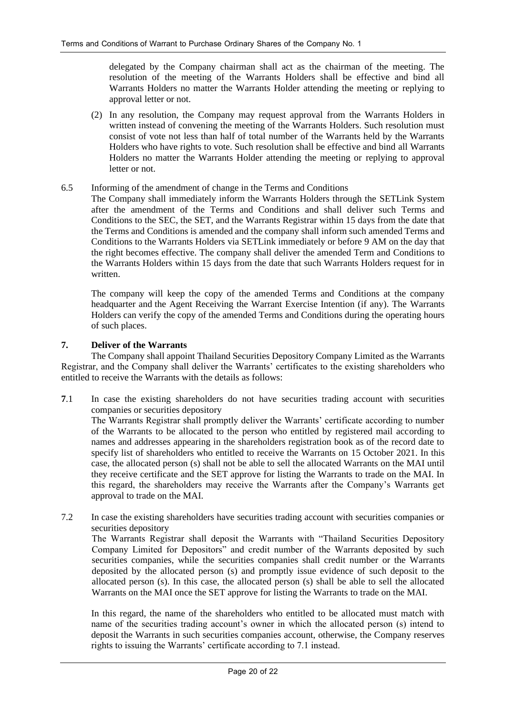delegated by the Company chairman shall act as the chairman of the meeting. The resolution of the meeting of the Warrants Holders shall be effective and bind all Warrants Holders no matter the Warrants Holder attending the meeting or replying to approval letter or not.

(2) In any resolution, the Company may request approval from the Warrants Holders in written instead of convening the meeting of the Warrants Holders. Such resolution must consist of vote not less than half of total number of the Warrants held by the Warrants Holders who have rights to vote. Such resolution shall be effective and bind all Warrants Holders no matter the Warrants Holder attending the meeting or replying to approval letter or not.

#### 6.5 Informing of the amendment of change in the Terms and Conditions

The Company shall immediately inform the Warrants Holders through the SETLink System after the amendment of the Terms and Conditions and shall deliver such Terms and Conditions to the SEC, the SET, and the Warrants Registrar within 15 days from the date that the Terms and Conditions is amended and the company shall inform such amended Terms and Conditions to the Warrants Holders via SETLink immediately or before 9 AM on the day that the right becomes effective. The company shall deliver the amended Term and Conditions to the Warrants Holders within 15 days from the date that such Warrants Holders request for in written.

The company will keep the copy of the amended Terms and Conditions at the company headquarter and the Agent Receiving the Warrant Exercise Intention (if any). The Warrants Holders can verify the copy of the amended Terms and Conditions during the operating hours of such places.

#### **7. Deliver of the Warrants**

The Company shall appoint Thailand Securities Depository Company Limited as the Warrants Registrar, and the Company shall deliver the Warrants' certificates to the existing shareholders who entitled to receive the Warrants with the details as follows:

**7**.1 In case the existing shareholders do not have securities trading account with securities companies or securities depository

The Warrants Registrar shall promptly deliver the Warrants' certificate according to number of the Warrants to be allocated to the person who entitled by registered mail according to names and addresses appearing in the shareholders registration book as of the record date to specify list of shareholders who entitled to receive the Warrants on 15 October 2021. In this case, the allocated person (s) shall not be able to sell the allocated Warrants on the MAI until they receive certificate and the SET approve for listing the Warrants to trade on the MAI. In this regard, the shareholders may receive the Warrants after the Company's Warrants get approval to trade on the MAI.

7.2 In case the existing shareholders have securities trading account with securities companies or securities depository

The Warrants Registrar shall deposit the Warrants with "Thailand Securities Depository Company Limited for Depositors" and credit number of the Warrants deposited by such securities companies, while the securities companies shall credit number or the Warrants deposited by the allocated person (s) and promptly issue evidence of such deposit to the allocated person (s). In this case, the allocated person (s) shall be able to sell the allocated Warrants on the MAI once the SET approve for listing the Warrants to trade on the MAI.

In this regard, the name of the shareholders who entitled to be allocated must match with name of the securities trading account's owner in which the allocated person (s) intend to deposit the Warrants in such securities companies account, otherwise, the Company reserves rights to issuing the Warrants' certificate according to 7.1 instead.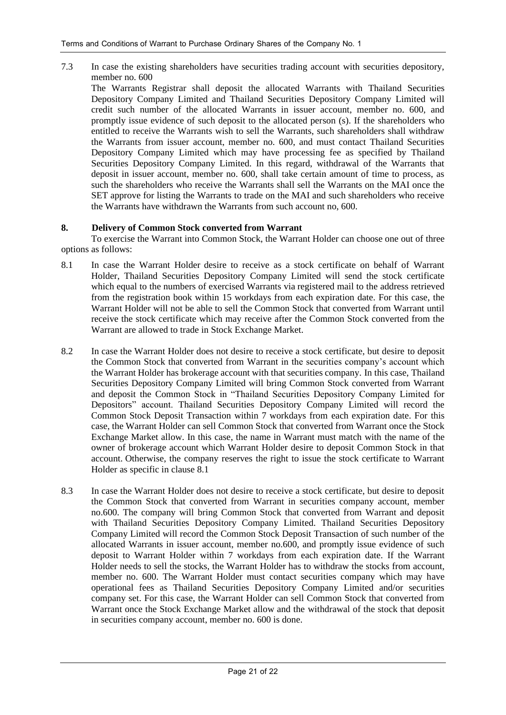7.3 In case the existing shareholders have securities trading account with securities depository, member no. 600

The Warrants Registrar shall deposit the allocated Warrants with Thailand Securities Depository Company Limited and Thailand Securities Depository Company Limited will credit such number of the allocated Warrants in issuer account, member no. 600, and promptly issue evidence of such deposit to the allocated person (s). If the shareholders who entitled to receive the Warrants wish to sell the Warrants, such shareholders shall withdraw the Warrants from issuer account, member no. 600, and must contact Thailand Securities Depository Company Limited which may have processing fee as specified by Thailand Securities Depository Company Limited. In this regard, withdrawal of the Warrants that deposit in issuer account, member no. 600, shall take certain amount of time to process, as such the shareholders who receive the Warrants shall sell the Warrants on the MAI once the SET approve for listing the Warrants to trade on the MAI and such shareholders who receive the Warrants have withdrawn the Warrants from such account no, 600.

#### **8. Delivery of Common Stock converted from Warrant**

To exercise the Warrant into Common Stock, the Warrant Holder can choose one out of three options as follows:

- 8.1 In case the Warrant Holder desire to receive as a stock certificate on behalf of Warrant Holder, Thailand Securities Depository Company Limited will send the stock certificate which equal to the numbers of exercised Warrants via registered mail to the address retrieved from the registration book within 15 workdays from each expiration date. For this case, the Warrant Holder will not be able to sell the Common Stock that converted from Warrant until receive the stock certificate which may receive after the Common Stock converted from the Warrant are allowed to trade in Stock Exchange Market.
- 8.2 In case the Warrant Holder does not desire to receive a stock certificate, but desire to deposit the Common Stock that converted from Warrant in the securities company's account which the Warrant Holder has brokerage account with that securities company. In this case, Thailand Securities Depository Company Limited will bring Common Stock converted from Warrant and deposit the Common Stock in "Thailand Securities Depository Company Limited for Depositors" account. Thailand Securities Depository Company Limited will record the Common Stock Deposit Transaction within 7 workdays from each expiration date. For this case, the Warrant Holder can sell Common Stock that converted from Warrant once the Stock Exchange Market allow. In this case, the name in Warrant must match with the name of the owner of brokerage account which Warrant Holder desire to deposit Common Stock in that account. Otherwise, the company reserves the right to issue the stock certificate to Warrant Holder as specific in clause 8.1
- 8.3 In case the Warrant Holder does not desire to receive a stock certificate, but desire to deposit the Common Stock that converted from Warrant in securities company account, member no.600. The company will bring Common Stock that converted from Warrant and deposit with Thailand Securities Depository Company Limited. Thailand Securities Depository Company Limited will record the Common Stock Deposit Transaction of such number of the allocated Warrants in issuer account, member no.600, and promptly issue evidence of such deposit to Warrant Holder within 7 workdays from each expiration date. If the Warrant Holder needs to sell the stocks, the Warrant Holder has to withdraw the stocks from account, member no. 600. The Warrant Holder must contact securities company which may have operational fees as Thailand Securities Depository Company Limited and/or securities company set. For this case, the Warrant Holder can sell Common Stock that converted from Warrant once the Stock Exchange Market allow and the withdrawal of the stock that deposit in securities company account, member no. 600 is done.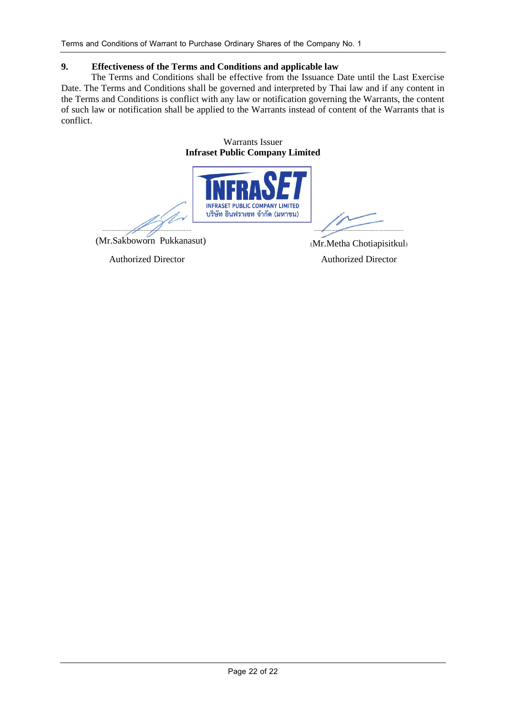### **9. Effectiveness of the Terms and Conditions and applicable law**

The Terms and Conditions shall be effective from the Issuance Date until the Last Exercise Date. The Terms and Conditions shall be governed and interpreted by Thai law and if any content in the Terms and Conditions is conflict with any law or notification governing the Warrants, the content of such law or notification shall be applied to the Warrants instead of content of the Warrants that is conflict.

#### Warrants Issuer **Infraset Public Company Limited**



Authorized Director Authorized Director

(Mr.Sakboworn Pukkanasut) (Mr.Metha Chotiapisitkul)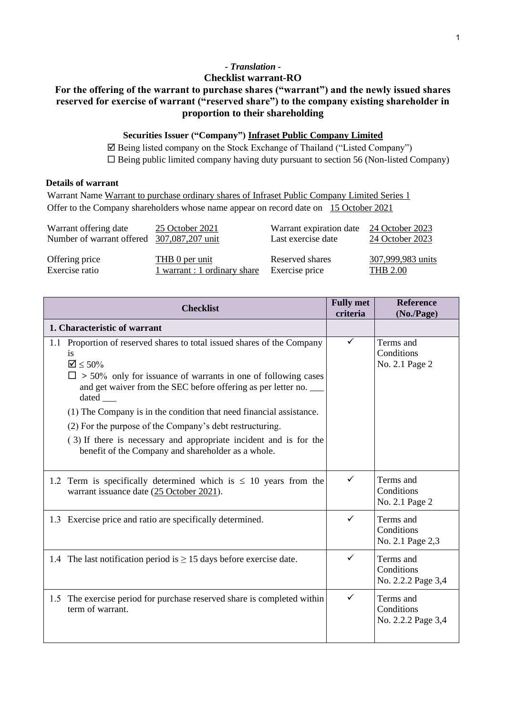# *- Translation -*

### **Checklist warrant-RO**

# **For the offering of the warrant to purchase shares ("warrant") and the newly issued shares reserved for exercise of warrant ("reserved share") to the company existing shareholder in proportion to their shareholding**

### **Securities Issuer ("Company") Infraset Public Company Limited**

 Being listed company on the Stock Exchange of Thailand ("Listed Company")  $\square$  Being public limited company having duty pursuant to section 56 (Non-listed Company)

### **Details of warrant**

Warrant Name Warrant to purchase ordinary shares of Infraset Public Company Limited Series 1 Offer to the Company shareholders whose name appear on record date on 15 October 2021

| Warrant offering date                      | 25 October 2021              | Warrant expiration date | 24 October 2023   |
|--------------------------------------------|------------------------------|-------------------------|-------------------|
| Number of warrant offered 307,087,207 unit |                              | Last exercise date      | 24 October 2023   |
| Offering price                             | THB 0 per unit               | Reserved shares         | 307,999,983 units |
| Exercise ratio                             | 1 warrant : 1 ordinary share | Exercise price          | <b>THB 2.00</b>   |

| <b>Checklist</b>                                                                                                                                                                                                                                                                                                                                                                                     | <b>Fully met</b><br>criteria | <b>Reference</b><br>(No/Page)                 |
|------------------------------------------------------------------------------------------------------------------------------------------------------------------------------------------------------------------------------------------------------------------------------------------------------------------------------------------------------------------------------------------------------|------------------------------|-----------------------------------------------|
| 1. Characteristic of warrant                                                                                                                                                                                                                                                                                                                                                                         |                              |                                               |
| Proportion of reserved shares to total issued shares of the Company<br>1.1<br>is<br>$\mathbf{\nabla} \leq 50\%$<br>$\Box$ > 50% only for issuance of warrants in one of following cases<br>and get waiver from the SEC before offering as per letter no.<br>dated<br>(1) The Company is in the condition that need financial assistance.<br>(2) For the purpose of the Company's debt restructuring. | ✓                            | Terms and<br>Conditions<br>No. 2.1 Page 2     |
| (3) If there is necessary and appropriate incident and is for the<br>benefit of the Company and shareholder as a whole.                                                                                                                                                                                                                                                                              |                              |                                               |
| 1.2 Term is specifically determined which is $\leq$ 10 years from the<br>warrant issuance date (25 October 2021).                                                                                                                                                                                                                                                                                    | ✓                            | Terms and<br>Conditions<br>No. 2.1 Page 2     |
| 1.3 Exercise price and ratio are specifically determined.                                                                                                                                                                                                                                                                                                                                            | ✓                            | Terms and<br>Conditions<br>No. 2.1 Page 2,3   |
| 1.4 The last notification period is $\geq$ 15 days before exercise date.                                                                                                                                                                                                                                                                                                                             | ✓                            | Terms and<br>Conditions<br>No. 2.2.2 Page 3,4 |
| The exercise period for purchase reserved share is completed within<br>1.5<br>term of warrant.                                                                                                                                                                                                                                                                                                       | $\checkmark$                 | Terms and<br>Conditions<br>No. 2.2.2 Page 3,4 |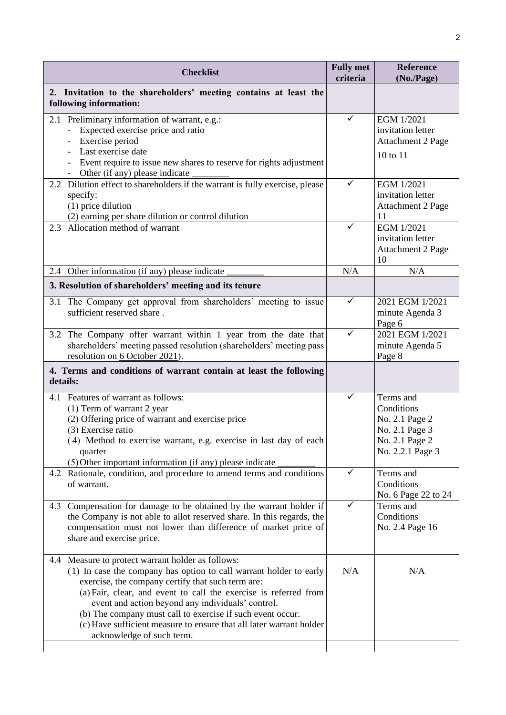| <b>Checklist</b>                                                                                                                                                                                                                                                                                                                                                                                                                                                        | <b>Fully met</b><br>criteria | <b>Reference</b><br>(No./Page)                                                                    |
|-------------------------------------------------------------------------------------------------------------------------------------------------------------------------------------------------------------------------------------------------------------------------------------------------------------------------------------------------------------------------------------------------------------------------------------------------------------------------|------------------------------|---------------------------------------------------------------------------------------------------|
| 2. Invitation to the shareholders' meeting contains at least the<br>following information:                                                                                                                                                                                                                                                                                                                                                                              |                              |                                                                                                   |
| 2.1 Preliminary information of warrant, e.g.:<br>Expected exercise price and ratio<br>Exercise period<br>Last exercise date<br>Event require to issue new shares to reserve for rights adjustment<br>Other (if any) please indicate                                                                                                                                                                                                                                     | ✓                            | EGM 1/2021<br>invitation letter<br><b>Attachment 2 Page</b><br>10 to 11                           |
| 2.2 Dilution effect to shareholders if the warrant is fully exercise, please<br>specify:<br>$(1)$ price dilution<br>(2) earning per share dilution or control dilution                                                                                                                                                                                                                                                                                                  | ✓                            | EGM 1/2021<br>invitation letter<br><b>Attachment 2 Page</b><br>11                                 |
| 2.3 Allocation method of warrant                                                                                                                                                                                                                                                                                                                                                                                                                                        | ✓                            | EGM 1/2021<br>invitation letter<br><b>Attachment 2 Page</b><br>10                                 |
| 2.4 Other information (if any) please indicate                                                                                                                                                                                                                                                                                                                                                                                                                          | N/A                          | N/A                                                                                               |
| 3. Resolution of shareholders' meeting and its tenure                                                                                                                                                                                                                                                                                                                                                                                                                   |                              |                                                                                                   |
| 3.1 The Company get approval from shareholders' meeting to issue<br>sufficient reserved share.                                                                                                                                                                                                                                                                                                                                                                          | $\checkmark$                 | 2021 EGM 1/2021<br>minute Agenda 3<br>Page 6                                                      |
| 3.2 The Company offer warrant within 1 year from the date that<br>shareholders' meeting passed resolution (shareholders' meeting pass<br>resolution on 6 October 2021).                                                                                                                                                                                                                                                                                                 | ✓                            | 2021 EGM 1/2021<br>minute Agenda 5<br>Page 8                                                      |
| 4. Terms and conditions of warrant contain at least the following<br>details:                                                                                                                                                                                                                                                                                                                                                                                           |                              |                                                                                                   |
| 4.1 Features of warrant as follows:<br>$(1)$ Term of warrant 2 year<br>(2) Offering price of warrant and exercise price<br>(3) Exercise ratio<br>(4) Method to exercise warrant, e.g. exercise in last day of each<br>quarter<br>(5) Other important information (if any) please indicate                                                                                                                                                                               | ✓                            | Terms and<br>Conditions<br>No. 2.1 Page 2<br>No. 2.1 Page 3<br>No. 2.1 Page 2<br>No. 2.2.1 Page 3 |
| 4.2 Rationale, condition, and procedure to amend terms and conditions<br>of warrant.                                                                                                                                                                                                                                                                                                                                                                                    | ✓                            | Terms and<br>Conditions<br>No. 6 Page 22 to 24                                                    |
| 4.3 Compensation for damage to be obtained by the warrant holder if<br>the Company is not able to allot reserved share. In this regards, the<br>compensation must not lower than difference of market price of<br>share and exercise price.                                                                                                                                                                                                                             | $\checkmark$                 | Terms and<br>Conditions<br>No. 2.4 Page 16                                                        |
| 4.4 Measure to protect warrant holder as follows:<br>(1) In case the company has option to call warrant holder to early<br>exercise, the company certify that such term are:<br>(a) Fair, clear, and event to call the exercise is referred from<br>event and action beyond any individuals' control.<br>(b) The company must call to exercise if such event occur.<br>(c) Have sufficient measure to ensure that all later warrant holder<br>acknowledge of such term. | N/A                          | N/A                                                                                               |